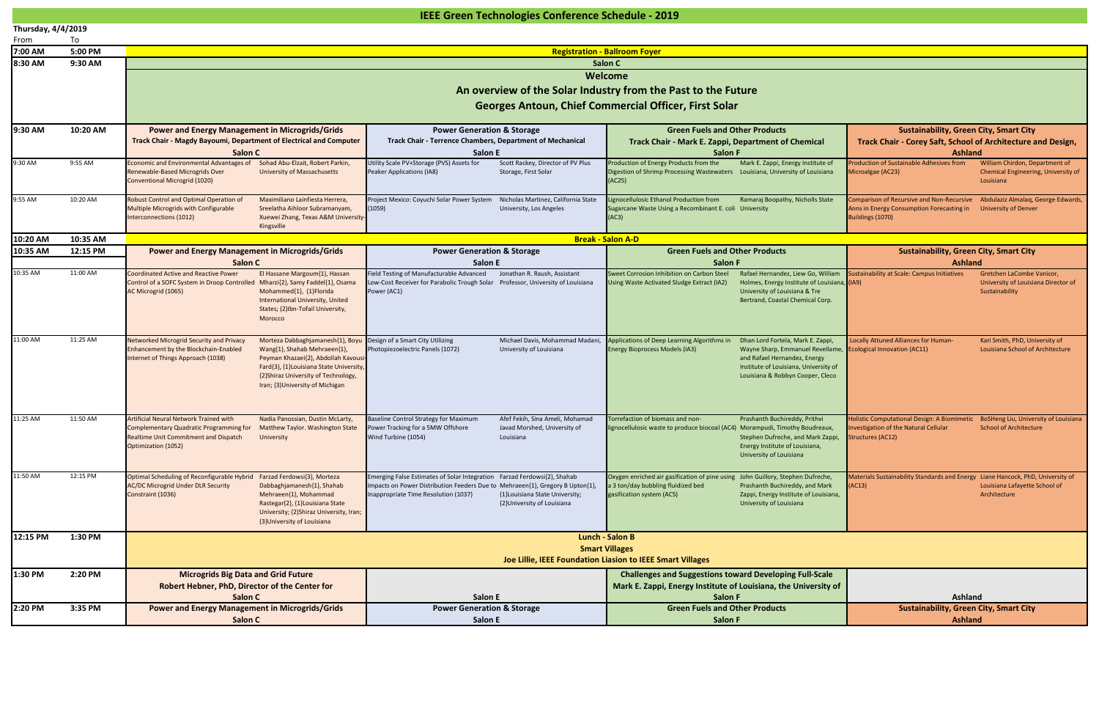|                    | IEEE Green Technologies Conference Schedule - 2019 |                                                                                                                                                                         |                                                                                                                                                      |                                                                                                                                                   |                                                                                                                                                                     |  |  |  |  |
|--------------------|----------------------------------------------------|-------------------------------------------------------------------------------------------------------------------------------------------------------------------------|------------------------------------------------------------------------------------------------------------------------------------------------------|---------------------------------------------------------------------------------------------------------------------------------------------------|---------------------------------------------------------------------------------------------------------------------------------------------------------------------|--|--|--|--|
| Thursday, 4/4/2019 |                                                    |                                                                                                                                                                         |                                                                                                                                                      |                                                                                                                                                   |                                                                                                                                                                     |  |  |  |  |
| From               | To                                                 |                                                                                                                                                                         |                                                                                                                                                      |                                                                                                                                                   |                                                                                                                                                                     |  |  |  |  |
| 7:00 AM            | 5:00 PM                                            |                                                                                                                                                                         |                                                                                                                                                      | <b>Registration - Ballroom Foyer</b>                                                                                                              |                                                                                                                                                                     |  |  |  |  |
| 8:30 AM            | 9:30 AM                                            |                                                                                                                                                                         |                                                                                                                                                      | Salon C                                                                                                                                           |                                                                                                                                                                     |  |  |  |  |
|                    |                                                    | Welcome                                                                                                                                                                 |                                                                                                                                                      |                                                                                                                                                   |                                                                                                                                                                     |  |  |  |  |
|                    |                                                    | An overview of the Solar Industry from the Past to the Future                                                                                                           |                                                                                                                                                      |                                                                                                                                                   |                                                                                                                                                                     |  |  |  |  |
|                    |                                                    | <b>Georges Antoun, Chief Commercial Officer, First Solar</b>                                                                                                            |                                                                                                                                                      |                                                                                                                                                   |                                                                                                                                                                     |  |  |  |  |
|                    |                                                    |                                                                                                                                                                         |                                                                                                                                                      |                                                                                                                                                   |                                                                                                                                                                     |  |  |  |  |
| 9:30 AM            | 10:20 AM                                           | <b>Power and Energy Management in Microgrids/Grids</b>                                                                                                                  | <b>Power Generation &amp; Storage</b>                                                                                                                | <b>Green Fuels and Other Products</b>                                                                                                             | <b>Sustainability, Green City, Smart City</b>                                                                                                                       |  |  |  |  |
|                    |                                                    | <b>Track Chair - Magdy Bayoumi, Department of Electrical and Computer</b>                                                                                               | Track Chair - Terrence Chambers, Department of Mechanical                                                                                            |                                                                                                                                                   | Track Chair - Corey Saft, School of Architecture and Design,                                                                                                        |  |  |  |  |
|                    |                                                    | Salon C                                                                                                                                                                 | <b>Salon E</b>                                                                                                                                       | <b>Salon F</b>                                                                                                                                    | Ashland                                                                                                                                                             |  |  |  |  |
| 9:30 AM            | 9:55 AM                                            | Economic and Environmental Advantages of<br>Sohad Abu-Elzait, Robert Parkin,                                                                                            | Utility Scale PV+Storage (PVS) Assets for<br>Scott Rackey, Director of PV Plus                                                                       | Production of Energy Products from the<br>Mark E. Zappi, Energy Institute of                                                                      | Production of Sustainable Adhesives from<br>William Chirdon, Department of                                                                                          |  |  |  |  |
|                    |                                                    | Renewable-Based Microgrids Over<br><b>University of Massachusetts</b><br><b>Conventional Microgrid (1020)</b>                                                           | Peaker Applications (IA8)<br>Storage, First Solar                                                                                                    | Digestion of Shrimp Processing Wastewaters<br>Louisiana, University of Louisiana<br>AC25)                                                         | Chemical Engineering, University of<br>Microalgae (AC23)<br>Louisiana                                                                                               |  |  |  |  |
|                    |                                                    |                                                                                                                                                                         |                                                                                                                                                      |                                                                                                                                                   |                                                                                                                                                                     |  |  |  |  |
| 9:55 AM            | 10:20 AM                                           | Robust Control and Optimal Operation of<br>Maximiliano Lainfiesta Herrera.                                                                                              | Nicholas Martinez, California State<br>Project Mexico: Coyuchi Solar Power System                                                                    | ignocellulosic Ethanol Production from<br>Ramaraj Boopathy, Nicholls State                                                                        | Comparison of Recursive and Non-Recursive<br>Abdulaziz Almalaq, George Edwards,                                                                                     |  |  |  |  |
|                    |                                                    | Multiple Microgrids with Configurable<br>Sreelatha Aihloor Subramanyam,<br>Interconnections (1012)<br>Xuewei Zhang, Texas A&M University-                               | University, Los Angeles<br>(1059)                                                                                                                    | Sugarcane Waste Using a Recombinant E. coli University<br>(AC3)                                                                                   | Anns in Energy Consumption Forecasting in<br><b>University of Denver</b><br>Buildings (1070)                                                                        |  |  |  |  |
|                    |                                                    | Kingsville                                                                                                                                                              |                                                                                                                                                      |                                                                                                                                                   |                                                                                                                                                                     |  |  |  |  |
| 10:20 AM           | 10:35 AM                                           |                                                                                                                                                                         |                                                                                                                                                      | <b>Break - Salon A-D</b>                                                                                                                          |                                                                                                                                                                     |  |  |  |  |
| 10:35 AM           | 12:15 PM                                           | <b>Power and Energy Management in Microgrids/Grids</b>                                                                                                                  | <b>Power Generation &amp; Storage</b>                                                                                                                | <b>Green Fuels and Other Products</b>                                                                                                             | <b>Sustainability, Green City, Smart City</b>                                                                                                                       |  |  |  |  |
|                    |                                                    | Salon C                                                                                                                                                                 | <b>Salon E</b>                                                                                                                                       | <b>Salon F</b>                                                                                                                                    | <b>Ashland</b>                                                                                                                                                      |  |  |  |  |
| 10:35 AM           | 11:00 AM                                           | El Hassane Margoum{1}, Hassan<br><b>Coordinated Active and Reactive Power</b>                                                                                           | Field Testing of Manufacturable Advanced<br>Jonathan R. Raush, Assistant                                                                             | Rafael Hernandez, Liew Go, William<br>weet Corrosion Inhibition on Carbon Steel                                                                   | ustainability at Scale: Campus Initiatives<br>Gretchen LaCombe Vanicor,                                                                                             |  |  |  |  |
|                    |                                                    | Control of a SOFC System in Droop Controlled Mharzi{2}, Samy Faddel{1}, Osama<br>AC Microgrid (1065)<br>Mohammed{1}, {1}Florida                                         | Low-Cost Receiver for Parabolic Trough Solar Professor, University of Louisiana<br>Power (AC1)                                                       | Holmes, Energy Institute of Louisiana, (IA9)<br>sing Waste Activated Sludge Extract (IA2)<br>University of Louisiana & Tre                        | University of Louisiana Director of<br>Sustainability                                                                                                               |  |  |  |  |
|                    |                                                    | <b>International University, United</b>                                                                                                                                 |                                                                                                                                                      | Bertrand, Coastal Chemical Corp.                                                                                                                  |                                                                                                                                                                     |  |  |  |  |
|                    |                                                    | States; {2}Ibn-Tofail University,                                                                                                                                       |                                                                                                                                                      |                                                                                                                                                   |                                                                                                                                                                     |  |  |  |  |
|                    |                                                    | Morocco                                                                                                                                                                 |                                                                                                                                                      |                                                                                                                                                   |                                                                                                                                                                     |  |  |  |  |
| 11:00 AM           | 11:25 AM                                           | <b>Networked Microgrid Security and Privacy</b><br>Morteza Dabbaghjamanesh{1}, Boyu                                                                                     | Design of a Smart City Utilizing<br>Michael Davis, Mohammad Madani,                                                                                  | Applications of Deep Learning Algorithms in<br>Dhan Lord Fortela, Mark E. Zappi                                                                   | Locally Attuned Alliances for Human-<br>Kari Smith, PhD, University of                                                                                              |  |  |  |  |
|                    |                                                    | Enhancement by the Blockchain-Enabled<br>Wang{1}, Shahab Mehraeen{1},                                                                                                   | University of Louisiana<br>Photopiezoelectric Panels (1072)                                                                                          | <b>Energy Bioprocess Models (IA3)</b><br>Wayne Sharp, Emmanuel Revellame,                                                                         | <b>Ecological Innovation (AC11)</b><br>Louisiana School of Architecture                                                                                             |  |  |  |  |
|                    |                                                    | Internet of Things Approach (1038)<br>Peyman Khazaei{2}, Abdollah Kavousi<br>Fard{3}, {1}Louisiana State University,                                                    |                                                                                                                                                      | and Rafael Hernandez, Energy<br>Institute of Louisiana, University of                                                                             |                                                                                                                                                                     |  |  |  |  |
|                    |                                                    | {2}Shiraz University of Technology,                                                                                                                                     |                                                                                                                                                      | Louisiana & Robbyn Cooper, Cleco                                                                                                                  |                                                                                                                                                                     |  |  |  |  |
|                    |                                                    | Iran; {3} University of Michigan                                                                                                                                        |                                                                                                                                                      |                                                                                                                                                   |                                                                                                                                                                     |  |  |  |  |
|                    |                                                    |                                                                                                                                                                         |                                                                                                                                                      |                                                                                                                                                   |                                                                                                                                                                     |  |  |  |  |
|                    |                                                    |                                                                                                                                                                         |                                                                                                                                                      |                                                                                                                                                   |                                                                                                                                                                     |  |  |  |  |
| 11:25 AM           | 11:50 AM                                           | <b>Artificial Neural Network Trained with</b><br>Nadia Panossian, Dustin McLarty,<br><b>Complementary Quadratic Programming for</b><br>Matthew Taylor. Washington State | <b>Baseline Control Strategy for Maximum</b><br>Afef Fekih, Sina Ameli, Mohamad<br>Power Tracking for a 5MW Offshore<br>Javad Morshed, University of | Torrefaction of biomass and non-<br>Prashanth Buchireddy, Prithvi<br>lignocellulosic waste to produce biocoal (AC4) Morampudi, Timothy Boudreaux, | BoSHeng Liu, University of Louisiana<br><b>Holistic Computational Design: A Biomimetic</b><br>nvestigation of the Natural Cellular<br><b>School of Architecture</b> |  |  |  |  |
|                    |                                                    | <b>Realtime Unit Commitment and Dispatch</b><br>University                                                                                                              | Wind Turbine (1054)<br>Louisiana                                                                                                                     | Stephen Dufreche, and Mark Zappi,                                                                                                                 | <b>Structures (AC12)</b>                                                                                                                                            |  |  |  |  |
|                    |                                                    | Optimization (1052)                                                                                                                                                     |                                                                                                                                                      | Energy Institute of Louisiana,                                                                                                                    |                                                                                                                                                                     |  |  |  |  |
|                    |                                                    |                                                                                                                                                                         |                                                                                                                                                      | University of Louisiana                                                                                                                           |                                                                                                                                                                     |  |  |  |  |
| 11:50 AM           | 12:15 PM                                           | Optimal Scheduling of Reconfigurable Hybrid<br>Farzad Ferdowsi{3}, Morteza                                                                                              | Emerging False Estimates of Solar Integration Farzad Ferdowsi{2}, Shahab                                                                             | Oxygen enriched air gasification of pine using John Guillory, Stephen Dufreche,                                                                   | Aaterials Sustainability Standards and Energy Liane Hancock, PhD, University of                                                                                     |  |  |  |  |
|                    |                                                    | <b>AC/DC Microgrid Under DLR Security</b><br>Dabbaghjamanesh{1}, Shahab                                                                                                 | Impacts on Power Distribution Feeders Due to Mehraeen{1}, Gregory B Upton{1},                                                                        | a 3 ton/day bubbling fluidized bed<br>Prashanth Buchireddy, and Mark                                                                              | AC13)<br>Louisiana Lafayette School of                                                                                                                              |  |  |  |  |
|                    |                                                    | Constraint (1036)<br>Mehraeen{1}, Mohammad                                                                                                                              | Inappropriate Time Resolution (1037)<br>{1}Louisiana State University;                                                                               | gasification system (AC5)<br>Zappi, Energy Institute of Louisiana,                                                                                | Architecture                                                                                                                                                        |  |  |  |  |
|                    |                                                    | Rastegar{2}, {1}Louisiana State<br>University; {2}Shiraz University, Iran;                                                                                              | {2}University of Louisiana                                                                                                                           | University of Louisiana                                                                                                                           |                                                                                                                                                                     |  |  |  |  |
|                    |                                                    | {3}University of Louisiana                                                                                                                                              |                                                                                                                                                      |                                                                                                                                                   |                                                                                                                                                                     |  |  |  |  |
| 12:15 PM           | 1:30 PM                                            |                                                                                                                                                                         |                                                                                                                                                      | <b>Lunch - Salon B</b>                                                                                                                            |                                                                                                                                                                     |  |  |  |  |
|                    |                                                    |                                                                                                                                                                         |                                                                                                                                                      | <b>Smart Villages</b>                                                                                                                             |                                                                                                                                                                     |  |  |  |  |
|                    |                                                    |                                                                                                                                                                         |                                                                                                                                                      | Joe Lillie, IEEE Foundation Liasion to IEEE Smart Villages                                                                                        |                                                                                                                                                                     |  |  |  |  |
| 1:30 PM            | 2:20 PM                                            | <b>Microgrids Big Data and Grid Future</b>                                                                                                                              |                                                                                                                                                      | <b>Challenges and Suggestions toward Developing Full-Scale</b>                                                                                    |                                                                                                                                                                     |  |  |  |  |
|                    |                                                    | Robert Hebner, PhD, Director of the Center for                                                                                                                          |                                                                                                                                                      | Mark E. Zappi, Energy Institute of Louisiana, the University of                                                                                   |                                                                                                                                                                     |  |  |  |  |
|                    |                                                    | Salon C                                                                                                                                                                 | Salon E                                                                                                                                              | <b>Salon F</b>                                                                                                                                    | <b>Ashland</b>                                                                                                                                                      |  |  |  |  |
| 2:20 PM            | 3:35 PM                                            | <b>Power and Energy Management in Microgrids/Grids</b>                                                                                                                  | <b>Power Generation &amp; Storage</b>                                                                                                                | <b>Green Fuels and Other Products</b>                                                                                                             | <b>Sustainability, Green City, Smart City</b>                                                                                                                       |  |  |  |  |
|                    |                                                    | Salon C<br><b>Salon E</b>                                                                                                                                               |                                                                                                                                                      | Salon F                                                                                                                                           | <b>Ashland</b>                                                                                                                                                      |  |  |  |  |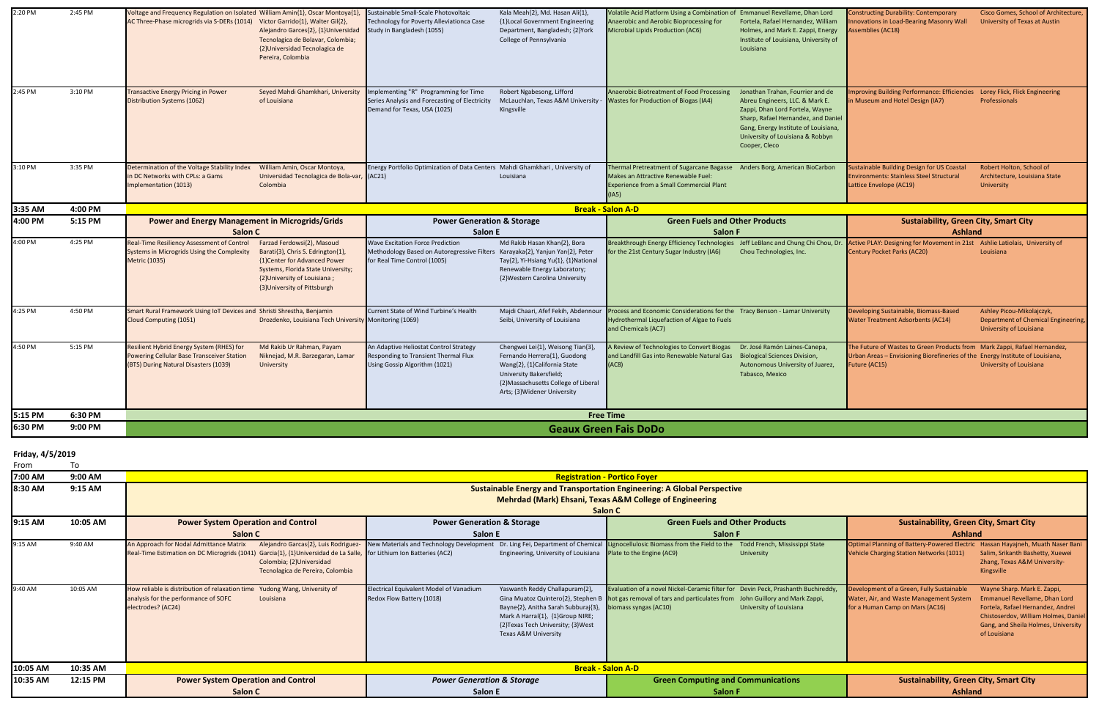| 2:20 PM | 2:45 PM | Voltage and Frequency Regulation on Isolated William Amin{1}, Oscar Montoya{1},                                                         |                                                                                                                                                                                                     | Sustainable Small-Scale Photovoltaic                                                                                                                     | Kala Meah{2}, Md. Hasan Ali{1},                                                                                                                                                                     | Volatile Acid Platform Using a Combination of Emmanuel Revellame, Dhan Lord                                                                                                  |                                                                                                                                                                                                                                            | onstructing Durability: Contemporary                                                                                                                                        | Cisco Gomes, School of Architecture,                                                        |  |
|---------|---------|-----------------------------------------------------------------------------------------------------------------------------------------|-----------------------------------------------------------------------------------------------------------------------------------------------------------------------------------------------------|----------------------------------------------------------------------------------------------------------------------------------------------------------|-----------------------------------------------------------------------------------------------------------------------------------------------------------------------------------------------------|------------------------------------------------------------------------------------------------------------------------------------------------------------------------------|--------------------------------------------------------------------------------------------------------------------------------------------------------------------------------------------------------------------------------------------|-----------------------------------------------------------------------------------------------------------------------------------------------------------------------------|---------------------------------------------------------------------------------------------|--|
|         |         | AC Three-Phase microgrids via S-DERs (1014) Victor Garrido{1}, Walter Gil{2},                                                           | Alejandro Garces{2}, {1}Universidad<br>Tecnolagica de Bolavar, Colombia;<br>{2}Universidad Tecnolagica de<br>Pereira, Colombia                                                                      | Technology for Poverty Alleviationca Case<br>Study in Bangladesh (1055)                                                                                  | {1}Local Government Engineering<br>Department, Bangladesh; {2}York<br>College of Pennsylvania                                                                                                       | Anaerobic and Aerobic Bioprocessing for<br>Microbial Lipids Production (AC6)                                                                                                 | Fortela, Rafael Hernandez, William<br>Holmes, and Mark E. Zappi, Energy<br>Institute of Louisiana, University of<br>Louisiana                                                                                                              | Inovations in Load-Bearing Masonry Wall<br>ssemblies (AC18)                                                                                                                 | University of Texas at Austin                                                               |  |
| 2:45 PM | 3:10 PM | <b>Transactive Energy Pricing in Power</b><br>Distribution Systems (1062)                                                               | Seyed Mahdi Ghamkhari, University<br>of Louisiana                                                                                                                                                   | Implementing "R" Programming for Time<br>Series Analysis and Forecasting of Electricity<br>Demand for Texas, USA (1025)                                  | Robert Ngabesong, Lifford<br>McLauchlan, Texas A&M University<br>Kingsville                                                                                                                         | Anaerobic Biotreatment of Food Processing<br><b>Wastes for Production of Biogas (IA4)</b>                                                                                    | Jonathan Trahan, Fourrier and de<br>Abreu Engineers, LLC. & Mark E.<br>Zappi, Dhan Lord Fortela, Wayne<br>Sharp, Rafael Hernandez, and Daniel<br>Gang, Energy Institute of Louisiana,<br>University of Louisiana & Robbyn<br>Cooper, Cleco | <b>nproving Building Performance: Efficiencies</b><br>n Museum and Hotel Design (IA7)                                                                                       | Lorey Flick, Flick Engineering<br>Professionals                                             |  |
| 3:10 PM | 3:35 PM | Determination of the Voltage Stability Index<br>n DC Networks with CPLs: a Gams<br>mplementation (1013)                                 | William Amin, Oscar Montoya,<br>Universidad Tecnolagica de Bola-var, (AC21)<br>Colombia                                                                                                             | Energy Portfolio Optimization of Data Centers Mahdi Ghamkhari, University of                                                                             | Louisiana                                                                                                                                                                                           | Thermal Pretreatment of Sugarcane Bagasse Anders Borg, American BioCarbon<br>Makes an Attractive Renewable Fuel:<br><b>Experience from a Small Commercial Plant</b><br>(IAS) |                                                                                                                                                                                                                                            | ustainable Building Design for US Coastal<br><b>Environments: Stainless Steel Structural</b><br>Lattice Envelope (AC19)                                                     | Robert Holton, School of<br>Architecture, Louisiana State<br><b>University</b>              |  |
| 3:35 AM | 4:00 PM |                                                                                                                                         |                                                                                                                                                                                                     |                                                                                                                                                          | <b>Break - Salon A-D</b>                                                                                                                                                                            |                                                                                                                                                                              |                                                                                                                                                                                                                                            |                                                                                                                                                                             |                                                                                             |  |
| 4:00 PM | 5:15 PM | <b>Power and Energy Management in Microgrids/Grids</b>                                                                                  |                                                                                                                                                                                                     | <b>Power Generation &amp; Storage</b><br><b>Green Fuels and Other Products</b>                                                                           |                                                                                                                                                                                                     |                                                                                                                                                                              | <b>Sustaiability, Green City, Smart City</b>                                                                                                                                                                                               |                                                                                                                                                                             |                                                                                             |  |
|         |         | Salon C                                                                                                                                 |                                                                                                                                                                                                     | Salon E                                                                                                                                                  |                                                                                                                                                                                                     | Salon F                                                                                                                                                                      |                                                                                                                                                                                                                                            | <b>Ashland</b>                                                                                                                                                              |                                                                                             |  |
| 4:00 PM | 4:25 PM | <b>Real-Time Resiliency Assessment of Control</b><br>Systems in Microgrids Using the Complexity<br><b>Metric (1035)</b>                 | Farzad Ferdowsi{2}, Masoud<br>Barati{3}, Chris S. Edrington{1},<br>{1}Center for Advanced Power<br>Systems, Florida State University;<br>{2}University of Louisiana;<br>{3}University of Pittsburgh | <b>Wave Excitation Force Prediction</b><br>Methodology Based on Autoregressive Filters Karayaka{2}, Yanjun Yan{2}, Peter<br>for Real Time Control (1005) | Md Rakib Hasan Khan{2}, Bora<br>Tay{2}, Yi-Hsiang Yu{1}, {1}National<br>Renewable Energy Laboratory;<br>{2}Western Carolina University                                                              | Breakthrough Energy Efficiency Technologies Jeff LeBlanc and Chung Chi Chou, Dr.<br>or the 21st Century Sugar Industry (IA6)                                                 | Chou Technologies, Inc.                                                                                                                                                                                                                    | Active PLAY: Designing for Movement in 21st Ashlie Latiolais, University of<br><b>Century Pocket Parks (AC20)</b>                                                           | Louisiana                                                                                   |  |
| 4:25 PM | 4:50 PM | Smart Rural Framework Using IoT Devices and Shristi Shrestha, Benjamin<br>Cloud Computing (1051)                                        | Drozdenko, Louisiana Tech University Monitoring (1069)                                                                                                                                              | Current State of Wind Turbine's Health                                                                                                                   | Majdi Chaari, Afef Fekih, Abdennour<br>Seibi, University of Louisiana                                                                                                                               | rocess and Economic Considerations for the Tracy Benson - Lamar University<br>Hydrothermal Liquefaction of Algae to Fuels<br>and Chemicals (AC7)                             |                                                                                                                                                                                                                                            | Developing Sustainable, Biomass-Based<br><b>Water Treatment Adsorbents (AC14)</b>                                                                                           | Ashley Picou-Mikolajczyk,<br>Department of Chemical Engineering,<br>University of Louisiana |  |
| 4:50 PM | 5:15 PM | Resilient Hybrid Energy System (RHES) for<br><b>Powering Cellular Base Transceiver Station</b><br>(BTS) During Natural Disasters (1039) | Md Rakib Ur Rahman, Payam<br>Niknejad, M.R. Barzegaran, Lamar<br><b>University</b>                                                                                                                  | An Adaptive Heliostat Control Strategy<br>Responding to Transient Thermal Flux<br>Using Gossip Algorithm (1021)                                          | Chengwei Lei{1}, Weisong Tian{3},<br>Fernando Herrera{1}, Guodong<br>Wang{2}, {1}California State<br>University Bakersfield;<br>{2}Massachusetts College of Liberal<br>Arts; {3} Widener University | A Review of Technologies to Convert Biogas<br>and Landfill Gas into Renewable Natural Gas<br>(AC8)                                                                           | Dr. José Ramón Laines-Canepa,<br><b>Biological Sciences Division,</b><br>Autonomous University of Juarez,<br>Tabasco, Mexico                                                                                                               | The Future of Wastes to Green Products from Mark Zappi, Rafael Hernandez,<br>Urban Areas - Envisioning Biorefineries of the Energy Institute of Louisiana,<br>Future (AC15) | University of Louisiana                                                                     |  |
| 5:15 PM | 6:30 PM |                                                                                                                                         |                                                                                                                                                                                                     |                                                                                                                                                          |                                                                                                                                                                                                     | <b>Free Time</b>                                                                                                                                                             |                                                                                                                                                                                                                                            |                                                                                                                                                                             |                                                                                             |  |
| 6:30 PM | 9:00 PM | <b>Geaux Green Fais DoDo</b>                                                                                                            |                                                                                                                                                                                                     |                                                                                                                                                          |                                                                                                                                                                                                     |                                                                                                                                                                              |                                                                                                                                                                                                                                            |                                                                                                                                                                             |                                                                                             |  |

## **Friday, 4/5/2019**

| From     | Т٥       |                                                                                                                                                                                                                                        |                                                                                                                                                                                                                                                                                                |                                                                                                                                                                                                                      |                                                                                                                                                                                                                                                                                                                                    |  |  |  |
|----------|----------|----------------------------------------------------------------------------------------------------------------------------------------------------------------------------------------------------------------------------------------|------------------------------------------------------------------------------------------------------------------------------------------------------------------------------------------------------------------------------------------------------------------------------------------------|----------------------------------------------------------------------------------------------------------------------------------------------------------------------------------------------------------------------|------------------------------------------------------------------------------------------------------------------------------------------------------------------------------------------------------------------------------------------------------------------------------------------------------------------------------------|--|--|--|
| 7:00 AM  | 9:00 AM  | <b>Registration - Portico Foyer</b>                                                                                                                                                                                                    |                                                                                                                                                                                                                                                                                                |                                                                                                                                                                                                                      |                                                                                                                                                                                                                                                                                                                                    |  |  |  |
| 8:30 AM  | 9:15 AM  | <b>Sustainable Energy and Transportation Engineering: A Global Perspective</b><br><b>Mehrdad (Mark) Ehsani, Texas A&amp;M College of Engineering</b><br><b>Salon C</b>                                                                 |                                                                                                                                                                                                                                                                                                |                                                                                                                                                                                                                      |                                                                                                                                                                                                                                                                                                                                    |  |  |  |
| 9:15 AM  | 10:05 AM | <b>Power System Operation and Control</b><br>Salon C                                                                                                                                                                                   | <b>Power Generation &amp; Storage</b><br>Salon E                                                                                                                                                                                                                                               | <b>Green Fuels and Other Products</b><br>Salon F                                                                                                                                                                     | <b>Sustainability, Green City, Smart City</b><br><b>Ashland</b>                                                                                                                                                                                                                                                                    |  |  |  |
| 9:15 AM  | 9:40 AM  | An Approach for Nodal Admittance Matrix<br>Alejandro Garcas{2}, Luis Rodriguez-<br>Real-Time Estimation on DC Microgrids (1041) Garcia{1}, {1}Universidad de La Salle,<br>Colombia; {2}Universidad<br>Tecnolagica de Pereira, Colombia | New Materials and Technology Development<br>for Lithium Ion Batteries (AC2)<br>Engineering, University of Louisiana                                                                                                                                                                            | Dr. Ling Fei, Department of Chemical Lignocellulosic Biomass from the Field to the<br>Todd French, Mississippi State<br>Plate to the Engine (AC9)<br>University                                                      | Optimal Planning of Battery-Powered Electric Hassan Hayajneh, Muath Naser Bani<br><b>Vehicle Charging Station Networks (1011)</b><br>Salim, Srikanth Bashetty, Xuewei<br>Zhang, Texas A&M University-<br>Kingsville                                                                                                                |  |  |  |
| 9:40 AM  | 10:05 AM | How reliable is distribution of relaxation time<br>Yudong Wang, University of<br>analysis for the performance of SOFC<br>Louisiana<br>electrodes? (AC24)                                                                               | Electrical Equivalent Model of Vanadium<br>Yaswanth Reddy Challapuram{2},<br>Redox Flow Battery (1018)<br>Gina Muatoz Quintero{2}, Stephen B<br>Bayne{2}, Anitha Sarah Subburaj{3}<br>Mark A Harral{1}, {1}Group NIRE;<br>{2}Texas Tech University; {3}West<br><b>Texas A&amp;M University</b> | Evaluation of a novel Nickel-Ceramic filter for Devin Peck, Prashanth Buchireddy,<br>hot gas removal of tars and particulates from John Guillory and Mark Zappi,<br>biomass syngas (AC10)<br>University of Louisiana | Development of a Green, Fully Sustainable<br>Wayne Sharp. Mark E. Zappi,<br>Water, Air, and Waste Management System<br><b>Emmanuel Revellame, Dhan Lord</b><br>for a Human Camp on Mars (AC16)<br>Fortela, Rafael Hernandez, Andrei<br>Chistoserdov, William Holmes, Daniel<br>Gang, and Sheila Holmes, University<br>of Louisiana |  |  |  |
| 10:05 AM | 10:35 AM | <b>Break - Salon A-D</b>                                                                                                                                                                                                               |                                                                                                                                                                                                                                                                                                |                                                                                                                                                                                                                      |                                                                                                                                                                                                                                                                                                                                    |  |  |  |
| 10:35 AM | 12:15 PM | <b>Power System Operation and Control</b><br>Salon C                                                                                                                                                                                   | <b>Power Generation &amp; Storage</b><br>Salon E                                                                                                                                                                                                                                               | <b>Green Computing and Communications</b><br>Salon F                                                                                                                                                                 | <b>Sustainability, Green City, Smart City</b><br><b>Ashland</b>                                                                                                                                                                                                                                                                    |  |  |  |